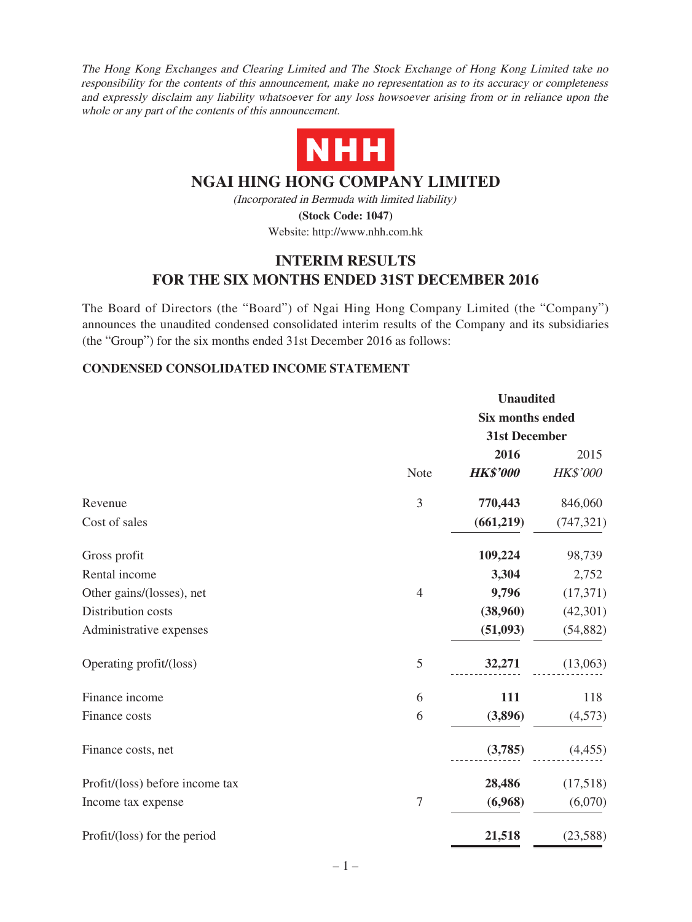The Hong Kong Exchanges and Clearing Limited and The Stock Exchange of Hong Kong Limited take no responsibility for the contents of this announcement, make no representation as to its accuracy or completeness and expressly disclaim any liability whatsoever for any loss howsoever arising from or in reliance upon the whole or any part of the contents of this announcement.



# **NGAI HING HONG COMPANY LIMITED**

(Incorporated in Bermuda with limited liability) **(Stock Code: 1047)**

Website: http://www.nhh.com.hk

# **INTERIM RESULTS FOR THE SIX MONTHS ENDED 31ST DECEMBER 2016**

The Board of Directors (the "Board") of Ngai Hing Hong Company Limited (the "Company") announces the unaudited condensed consolidated interim results of the Company and its subsidiaries (the "Group") for the six months ended 31st December 2016 as follows:

### **CONDENSED CONSOLIDATED INCOME STATEMENT**

|                                 |                |                         | <b>Unaudited</b> |  |  |
|---------------------------------|----------------|-------------------------|------------------|--|--|
|                                 |                | <b>Six months ended</b> |                  |  |  |
|                                 |                | 31st December           |                  |  |  |
|                                 |                | 2016                    | 2015             |  |  |
|                                 | Note           | <b>HK\$'000</b>         | HK\$'000         |  |  |
| Revenue                         | 3              | 770,443                 | 846,060          |  |  |
| Cost of sales                   |                | (661,219)               | (747, 321)       |  |  |
| Gross profit                    |                | 109,224                 | 98,739           |  |  |
| Rental income                   |                | 3,304                   | 2,752            |  |  |
| Other gains/(losses), net       | $\overline{4}$ | 9,796                   | (17, 371)        |  |  |
| Distribution costs              |                | (38,960)                | (42, 301)        |  |  |
| Administrative expenses         |                | (51,093)                | (54, 882)        |  |  |
| Operating profit/(loss)         | 5              | 32,271                  | (13,063)         |  |  |
| Finance income                  | 6              | 111                     | 118              |  |  |
| Finance costs                   | 6              | (3,896)                 | (4,573)          |  |  |
| Finance costs, net              |                | (3,785)                 | (4,455)          |  |  |
| Profit/(loss) before income tax |                | 28,486                  | (17,518)         |  |  |
| Income tax expense              | $\tau$         | (6,968)                 | (6,070)          |  |  |
| Profit/(loss) for the period    |                | 21,518                  | (23,588)         |  |  |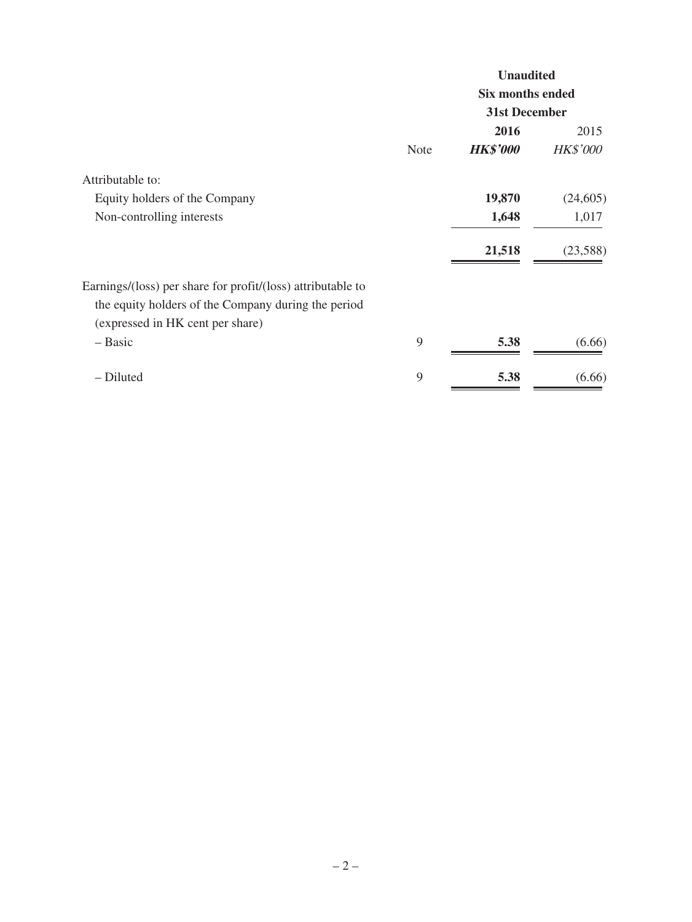|                                                             |             | <b>Unaudited</b><br>Six months ended |                 |  |
|-------------------------------------------------------------|-------------|--------------------------------------|-----------------|--|
|                                                             |             |                                      |                 |  |
|                                                             |             | 31st December                        |                 |  |
|                                                             |             | 2016                                 | 2015            |  |
|                                                             | <b>Note</b> | <b>HK\$'000</b>                      | <b>HK\$'000</b> |  |
| Attributable to:                                            |             |                                      |                 |  |
| Equity holders of the Company                               |             | 19,870                               | (24,605)        |  |
| Non-controlling interests                                   |             | 1,648                                | 1,017           |  |
|                                                             |             | 21,518                               | (23,588)        |  |
| Earnings/(loss) per share for profit/(loss) attributable to |             |                                      |                 |  |
| the equity holders of the Company during the period         |             |                                      |                 |  |
| (expressed in HK cent per share)                            |             |                                      |                 |  |
| – Basic                                                     | 9           | 5.38                                 | (6.66)          |  |
| - Diluted                                                   | 9           | 5.38                                 | (6.66)          |  |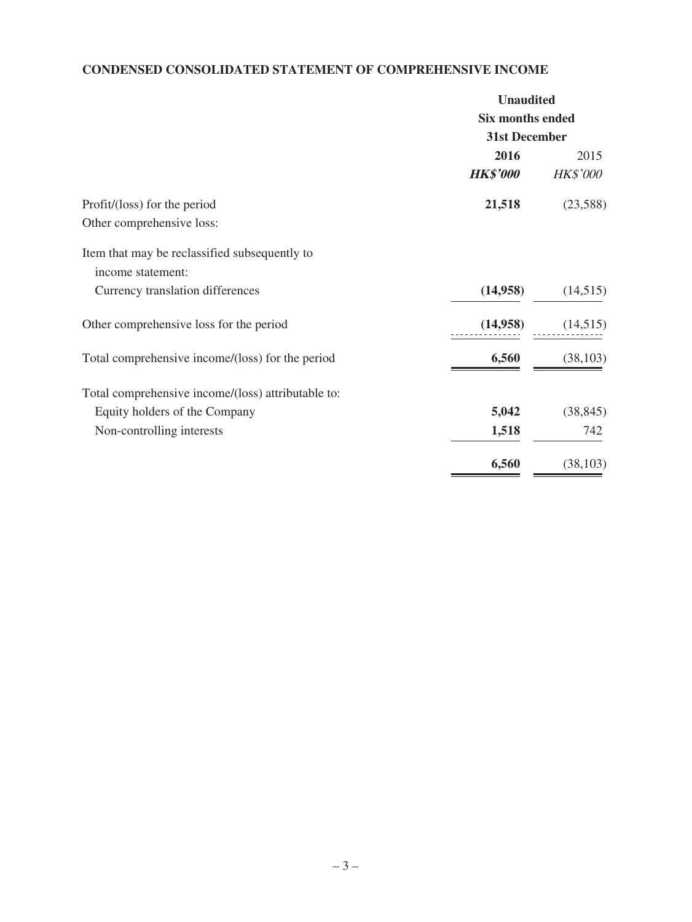# **CONDENSED CONSOLIDATED STATEMENT OF COMPREHENSIVE INCOME**

| <b>Unaudited</b>                         |                 |  |
|------------------------------------------|-----------------|--|
| <b>Six months ended</b><br>31st December |                 |  |
|                                          |                 |  |
| <b>HK\$'000</b>                          | <b>HK\$'000</b> |  |
| 21,518                                   | (23,588)        |  |
|                                          |                 |  |
|                                          |                 |  |
|                                          |                 |  |
| (14,958)                                 | (14,515)        |  |
| (14,958)                                 | (14,515)        |  |
| 6,560                                    | (38, 103)       |  |
|                                          |                 |  |
| 5,042                                    | (38, 845)       |  |
| 1,518                                    | 742             |  |
| 6,560                                    | (38, 103)       |  |
|                                          |                 |  |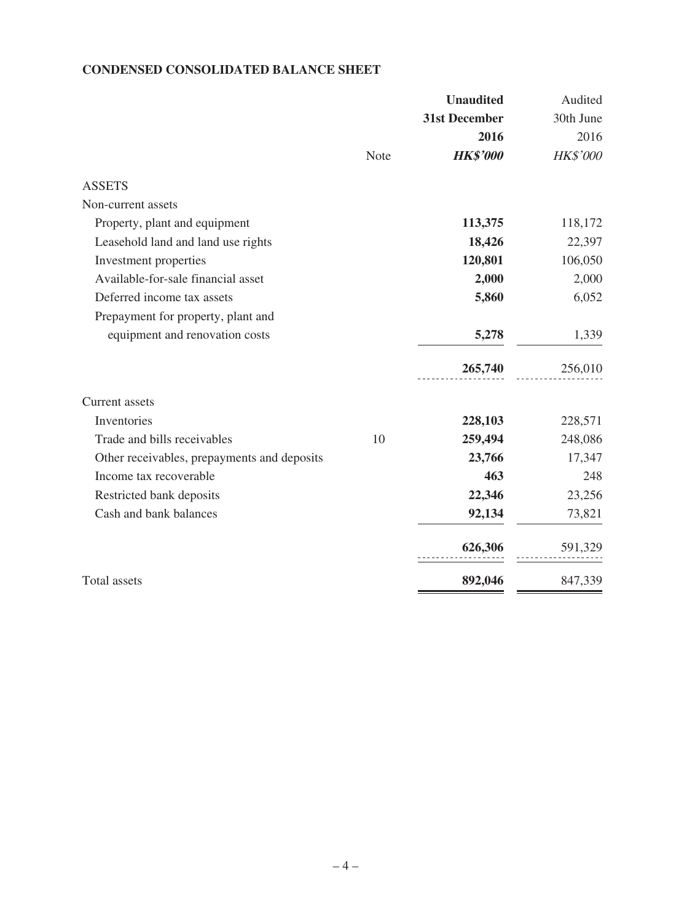### **CONDENSED CONSOLIDATED BALANCE SHEET**

|                                             |      | <b>Unaudited</b> | Audited   |
|---------------------------------------------|------|------------------|-----------|
|                                             |      | 31st December    | 30th June |
|                                             |      | 2016             | 2016      |
|                                             | Note | <b>HK\$'000</b>  | HK\$'000  |
| <b>ASSETS</b>                               |      |                  |           |
| Non-current assets                          |      |                  |           |
| Property, plant and equipment               |      | 113,375          | 118,172   |
| Leasehold land and land use rights          |      | 18,426           | 22,397    |
| Investment properties                       |      | 120,801          | 106,050   |
| Available-for-sale financial asset          |      | 2,000            | 2,000     |
| Deferred income tax assets                  |      | 5,860            | 6,052     |
| Prepayment for property, plant and          |      |                  |           |
| equipment and renovation costs              |      | 5,278            | 1,339     |
|                                             |      | 265,740          | 256,010   |
| <b>Current</b> assets                       |      |                  |           |
| Inventories                                 |      | 228,103          | 228,571   |
| Trade and bills receivables                 | 10   | 259,494          | 248,086   |
| Other receivables, prepayments and deposits |      | 23,766           | 17,347    |
| Income tax recoverable                      |      | 463              | 248       |
| Restricted bank deposits                    |      | 22,346           | 23,256    |
| Cash and bank balances                      |      | 92,134           | 73,821    |
|                                             |      | 626,306          | 591,329   |
| Total assets                                |      | 892,046          | 847,339   |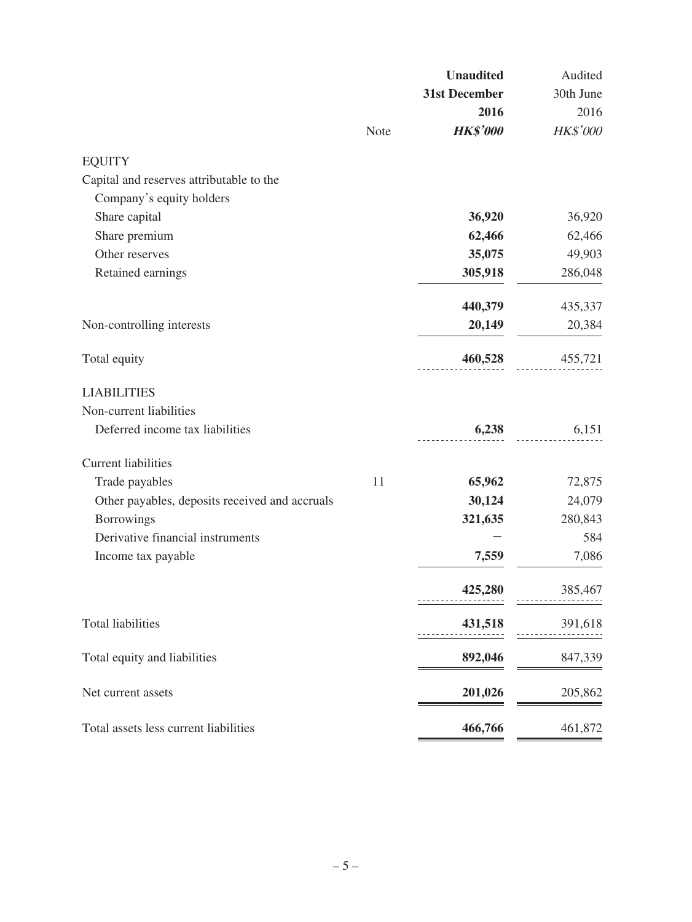|                                                |      | <b>Unaudited</b> | Audited   |
|------------------------------------------------|------|------------------|-----------|
|                                                |      | 31st December    | 30th June |
|                                                |      | 2016             | 2016      |
|                                                | Note | <b>HK\$'000</b>  | HK\$'000  |
| <b>EQUITY</b>                                  |      |                  |           |
| Capital and reserves attributable to the       |      |                  |           |
| Company's equity holders                       |      |                  |           |
| Share capital                                  |      | 36,920           | 36,920    |
| Share premium                                  |      | 62,466           | 62,466    |
| Other reserves                                 |      | 35,075           | 49,903    |
| Retained earnings                              |      | 305,918          | 286,048   |
|                                                |      | 440,379          | 435,337   |
| Non-controlling interests                      |      | 20,149           | 20,384    |
| Total equity                                   |      | 460,528          | 455,721   |
| <b>LIABILITIES</b>                             |      |                  |           |
| Non-current liabilities                        |      |                  |           |
| Deferred income tax liabilities                |      | 6,238            | 6,151     |
| <b>Current liabilities</b>                     |      |                  |           |
| Trade payables                                 | 11   | 65,962           | 72,875    |
| Other payables, deposits received and accruals |      | 30,124           | 24,079    |
| <b>Borrowings</b>                              |      | 321,635          | 280,843   |
| Derivative financial instruments               |      |                  | 584       |
| Income tax payable                             |      | 7,559            | 7,086     |
|                                                |      | 425,280          | 385,467   |
| <b>Total liabilities</b>                       |      | 431,518          | 391,618   |
| Total equity and liabilities                   |      | 892,046          | 847,339   |
| Net current assets                             |      | 201,026          | 205,862   |
| Total assets less current liabilities          |      | 466,766          | 461,872   |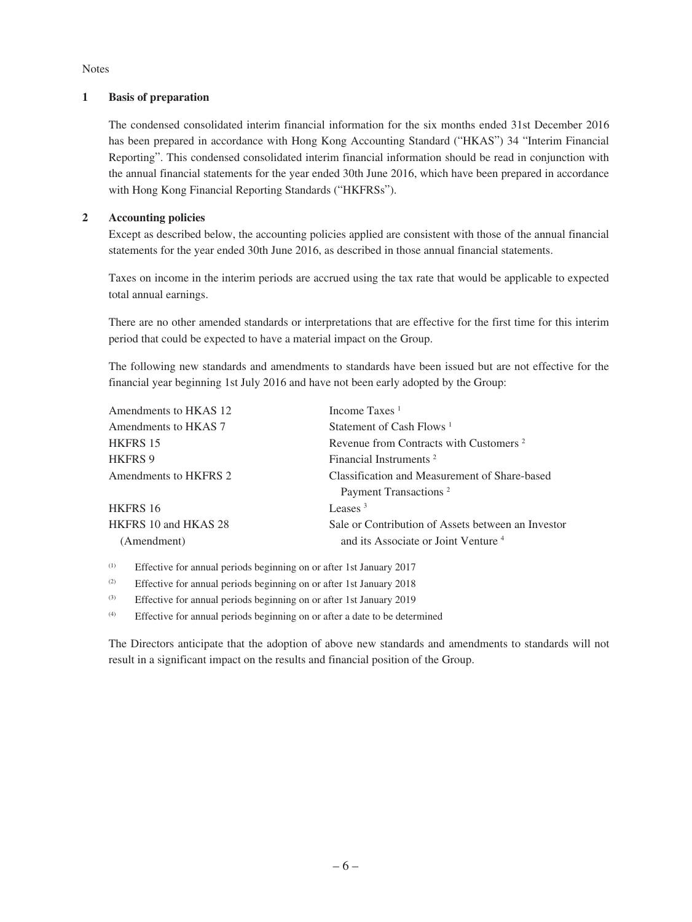#### Notes

#### **1 Basis of preparation**

The condensed consolidated interim financial information for the six months ended 31st December 2016 has been prepared in accordance with Hong Kong Accounting Standard ("HKAS") 34 "Interim Financial Reporting". This condensed consolidated interim financial information should be read in conjunction with the annual financial statements for the year ended 30th June 2016, which have been prepared in accordance with Hong Kong Financial Reporting Standards ("HKFRSs").

#### **2 Accounting policies**

Except as described below, the accounting policies applied are consistent with those of the annual financial statements for the year ended 30th June 2016, as described in those annual financial statements.

Taxes on income in the interim periods are accrued using the tax rate that would be applicable to expected total annual earnings.

There are no other amended standards or interpretations that are effective for the first time for this interim period that could be expected to have a material impact on the Group.

The following new standards and amendments to standards have been issued but are not effective for the financial year beginning 1st July 2016 and have not been early adopted by the Group:

| Revenue from Contracts with Customers <sup>2</sup> |
|----------------------------------------------------|
|                                                    |
| Classification and Measurement of Share-based      |
|                                                    |
|                                                    |
| Sale or Contribution of Assets between an Investor |
| and its Associate or Joint Venture <sup>4</sup>    |
|                                                    |

(1) Effective for annual periods beginning on or after 1st January 2017

(2) Effective for annual periods beginning on or after 1st January 2018

(3) Effective for annual periods beginning on or after 1st January 2019

(4) Effective for annual periods beginning on or after a date to be determined

The Directors anticipate that the adoption of above new standards and amendments to standards will not result in a significant impact on the results and financial position of the Group.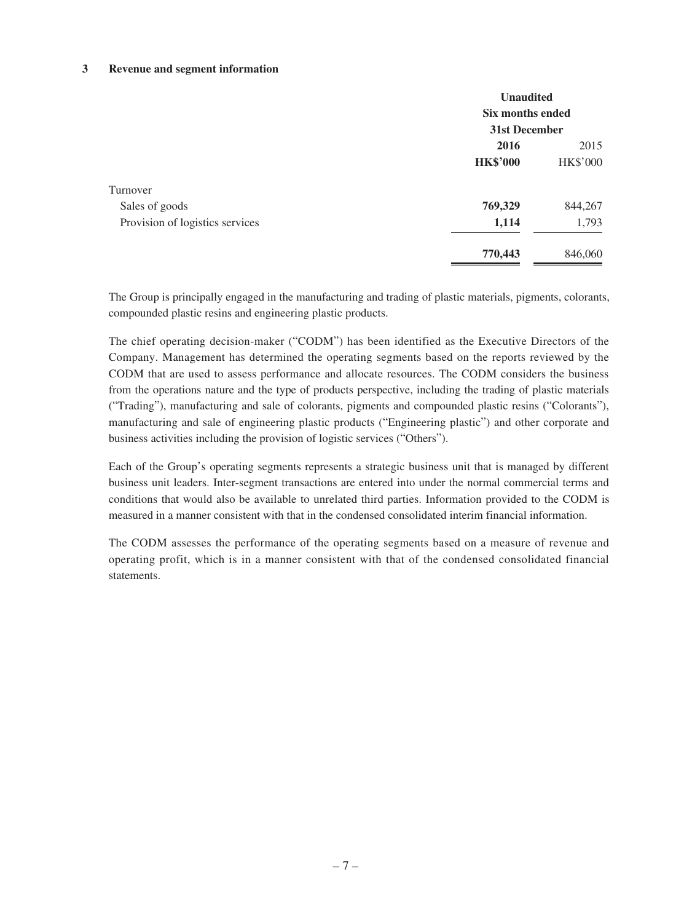#### **3 Revenue and segment information**

|                                 | <b>Unaudited</b><br>Six months ended<br>31st December |                 |  |
|---------------------------------|-------------------------------------------------------|-----------------|--|
|                                 |                                                       |                 |  |
|                                 | 2016<br>2015                                          |                 |  |
|                                 | <b>HK\$'000</b>                                       | <b>HK\$'000</b> |  |
| Turnover                        |                                                       |                 |  |
| Sales of goods                  | 769,329                                               | 844,267         |  |
| Provision of logistics services | 1,114                                                 | 1,793           |  |
|                                 | 770,443                                               | 846,060         |  |

The Group is principally engaged in the manufacturing and trading of plastic materials, pigments, colorants, compounded plastic resins and engineering plastic products.

The chief operating decision-maker ("CODM") has been identified as the Executive Directors of the Company. Management has determined the operating segments based on the reports reviewed by the CODM that are used to assess performance and allocate resources. The CODM considers the business from the operations nature and the type of products perspective, including the trading of plastic materials ("Trading"), manufacturing and sale of colorants, pigments and compounded plastic resins ("Colorants"), manufacturing and sale of engineering plastic products ("Engineering plastic") and other corporate and business activities including the provision of logistic services ("Others").

Each of the Group's operating segments represents a strategic business unit that is managed by different business unit leaders. Inter-segment transactions are entered into under the normal commercial terms and conditions that would also be available to unrelated third parties. Information provided to the CODM is measured in a manner consistent with that in the condensed consolidated interim financial information.

The CODM assesses the performance of the operating segments based on a measure of revenue and operating profit, which is in a manner consistent with that of the condensed consolidated financial statements.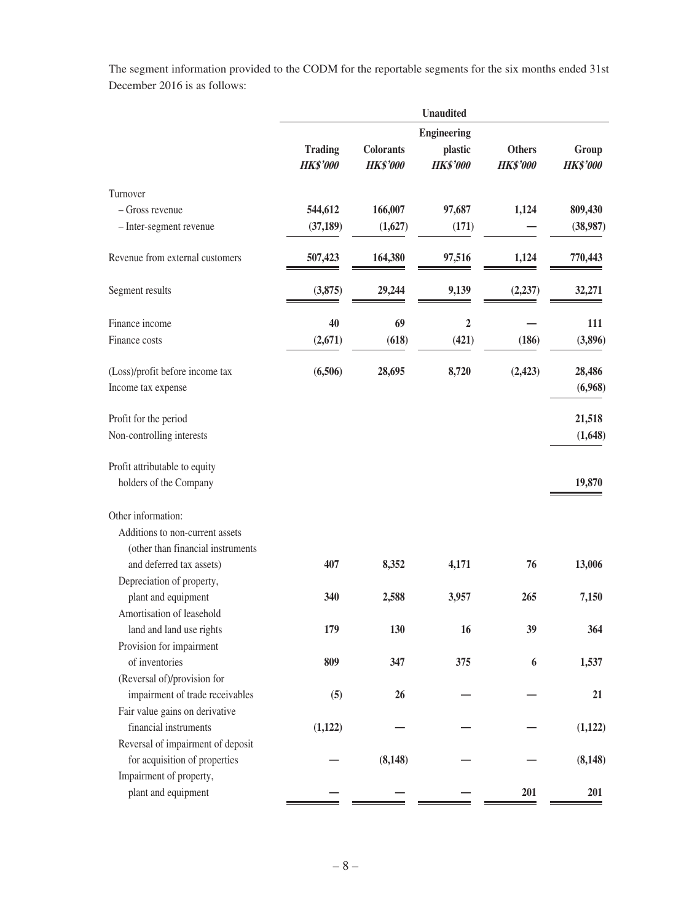The segment information provided to the CODM for the reportable segments for the six months ended 31st December 2016 is as follows:

|                                   | <b>Unaudited</b>                  |                                     |                            |                                  |                          |  |
|-----------------------------------|-----------------------------------|-------------------------------------|----------------------------|----------------------------------|--------------------------|--|
|                                   | <b>Engineering</b>                |                                     |                            |                                  |                          |  |
|                                   | <b>Trading</b><br><b>HK\$'000</b> | <b>Colorants</b><br><b>HK\$'000</b> | plastic<br><b>HK\$'000</b> | <b>Others</b><br><b>HK\$'000</b> | Group<br><b>HK\$'000</b> |  |
| Turnover                          |                                   |                                     |                            |                                  |                          |  |
| – Gross revenue                   | 544,612                           | 166,007                             | 97,687                     | 1,124                            | 809,430                  |  |
| - Inter-segment revenue           | (37, 189)                         | (1,627)                             | (171)                      |                                  | (38,987)                 |  |
| Revenue from external customers   | 507,423                           | 164,380                             | 97,516                     | 1,124                            | 770,443                  |  |
| Segment results                   | (3,875)                           | 29,244                              | 9,139                      | (2, 237)                         | 32,271                   |  |
| Finance income                    | 40                                | 69                                  | $\overline{2}$             |                                  | 111                      |  |
| Finance costs                     | (2,671)                           | (618)                               | (421)                      | (186)                            | (3,896)                  |  |
| (Loss)/profit before income tax   | (6,506)                           | 28,695                              | 8,720                      | (2, 423)                         | 28,486                   |  |
| Income tax expense                |                                   |                                     |                            |                                  | (6,968)                  |  |
| Profit for the period             |                                   |                                     |                            |                                  | 21,518                   |  |
| Non-controlling interests         |                                   |                                     |                            |                                  | (1,648)                  |  |
| Profit attributable to equity     |                                   |                                     |                            |                                  |                          |  |
| holders of the Company            |                                   |                                     |                            |                                  | 19,870                   |  |
| Other information:                |                                   |                                     |                            |                                  |                          |  |
| Additions to non-current assets   |                                   |                                     |                            |                                  |                          |  |
| (other than financial instruments |                                   |                                     |                            |                                  |                          |  |
| and deferred tax assets)          | 407                               | 8,352                               | 4,171                      | 76                               | 13,006                   |  |
| Depreciation of property,         |                                   |                                     |                            |                                  |                          |  |
| plant and equipment               | 340                               | 2,588                               | 3,957                      | 265                              | 7,150                    |  |
| Amortisation of leasehold         |                                   |                                     |                            |                                  |                          |  |
| land and land use rights          | 179                               | 130                                 | 16                         | 39                               | 364                      |  |
| Provision for impairment          |                                   |                                     |                            |                                  |                          |  |
| of inventories                    | 809                               | 347                                 | 375                        | 6                                | 1,537                    |  |
| (Reversal of)/provision for       |                                   |                                     |                            |                                  |                          |  |
| impairment of trade receivables   | (5)                               | 26                                  |                            |                                  | 21                       |  |
| Fair value gains on derivative    |                                   |                                     |                            |                                  |                          |  |
| financial instruments             | (1,122)                           |                                     |                            |                                  | (1,122)                  |  |
| Reversal of impairment of deposit |                                   |                                     |                            |                                  |                          |  |
| for acquisition of properties     |                                   | (8, 148)                            |                            |                                  | (8, 148)                 |  |
| Impairment of property,           |                                   |                                     |                            |                                  |                          |  |
| plant and equipment               |                                   |                                     |                            | 201                              | 201                      |  |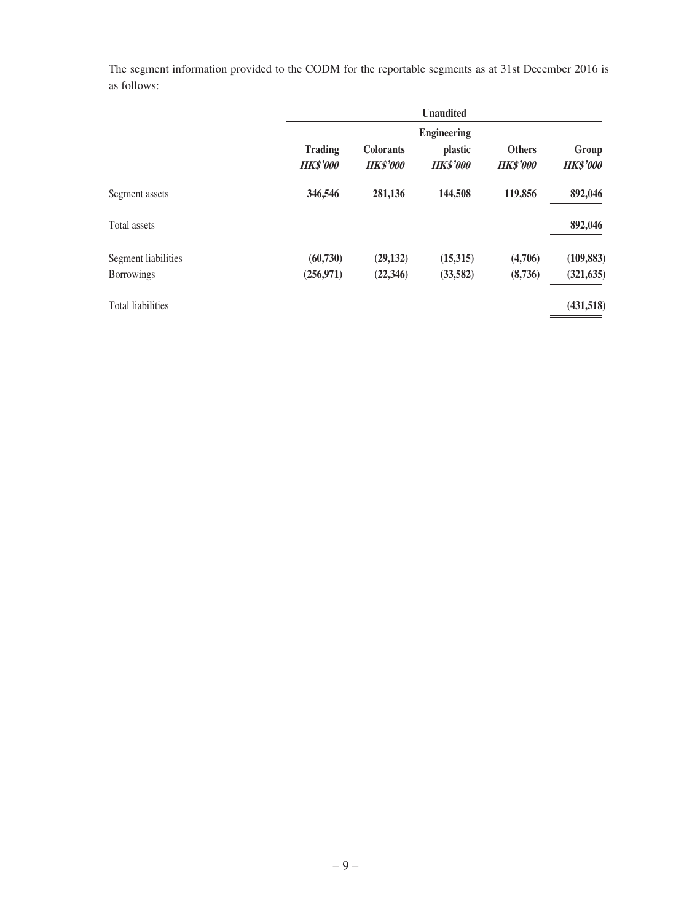The segment information provided to the CODM for the reportable segments as at 31st December 2016 is as follows:

|                                          |                                   |                                     | <b>Unaudited</b>                                        |                                  |                          |
|------------------------------------------|-----------------------------------|-------------------------------------|---------------------------------------------------------|----------------------------------|--------------------------|
|                                          | <b>Trading</b><br><b>HK\$'000</b> | <b>Colorants</b><br><b>HK\$'000</b> | <b>Engineering</b><br><i>plastic</i><br><b>HK\$'000</b> | <b>Others</b><br><b>HK\$'000</b> | Group<br><b>HK\$'000</b> |
| Segment assets                           | 346,546                           | 281,136                             | 144,508                                                 | 119,856                          | 892,046                  |
| Total assets                             |                                   |                                     |                                                         |                                  | 892,046                  |
| Segment liabilities<br><b>Borrowings</b> | (60, 730)<br>(256, 971)           | (29, 132)<br>(22, 346)              | (15,315)<br>(33,582)                                    | (4,706)<br>(8,736)               | (109, 883)<br>(321, 635) |
| <b>Total liabilities</b>                 |                                   |                                     |                                                         |                                  | (431,518)                |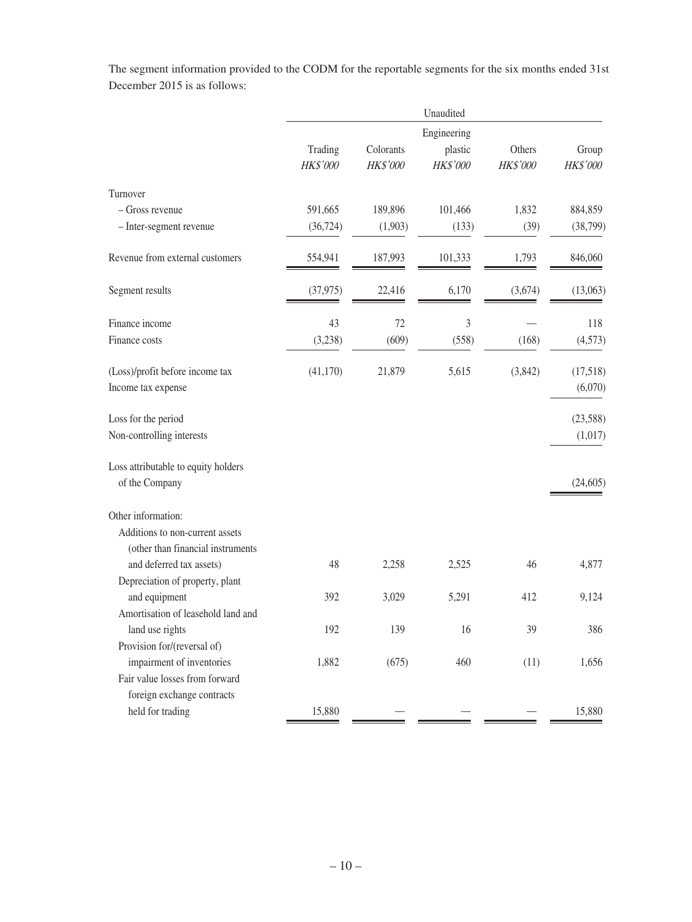The segment information provided to the CODM for the reportable segments for the six months ended 31st December 2015 is as follows:

|                                                                                        | Unaudited           |                       |                     |                    |                          |
|----------------------------------------------------------------------------------------|---------------------|-----------------------|---------------------|--------------------|--------------------------|
|                                                                                        | Engineering         |                       |                     |                    |                          |
|                                                                                        | Trading<br>HK\$'000 | Colorants<br>HK\$'000 | plastic<br>HK\$'000 | Others<br>HK\$'000 | Group<br><b>HK\$'000</b> |
| Turnover                                                                               |                     |                       |                     |                    |                          |
| - Gross revenue                                                                        | 591,665             | 189,896               | 101,466             | 1,832              | 884,859                  |
| - Inter-segment revenue                                                                | (36, 724)           | (1,903)               | (133)               | (39)               | (38, 799)                |
| Revenue from external customers                                                        | 554,941             | 187,993               | 101,333             | 1,793              | 846,060                  |
| Segment results                                                                        | (37, 975)           | 22,416                | 6,170               | (3,674)            | (13,063)                 |
| Finance income                                                                         | 43                  | 72                    | 3                   |                    | 118                      |
| Finance costs                                                                          | (3,238)             | (609)                 | (558)               | (168)              | (4, 573)                 |
| (Loss)/profit before income tax<br>Income tax expense                                  | (41, 170)           | 21,879                | 5,615               | (3,842)            | (17,518)<br>(6,070)      |
| Loss for the period                                                                    |                     |                       |                     |                    | (23, 588)                |
| Non-controlling interests                                                              |                     |                       |                     |                    | (1,017)                  |
| Loss attributable to equity holders<br>of the Company                                  |                     |                       |                     |                    | (24, 605)                |
| Other information:                                                                     |                     |                       |                     |                    |                          |
| Additions to non-current assets<br>(other than financial instruments                   |                     |                       |                     |                    |                          |
| and deferred tax assets)                                                               | 48                  | 2,258                 | 2,525               | 46                 | 4,877                    |
| Depreciation of property, plant<br>and equipment<br>Amortisation of leasehold land and | 392                 | 3,029                 | 5,291               | 412                | 9,124                    |
| land use rights<br>Provision for/(reversal of)                                         | 192                 | 139                   | 16                  | 39                 | 386                      |
| impairment of inventories                                                              | 1,882               | (675)                 | 460                 | (11)               | 1,656                    |
| Fair value losses from forward                                                         |                     |                       |                     |                    |                          |
| foreign exchange contracts<br>held for trading                                         | 15,880              |                       |                     |                    | 15,880                   |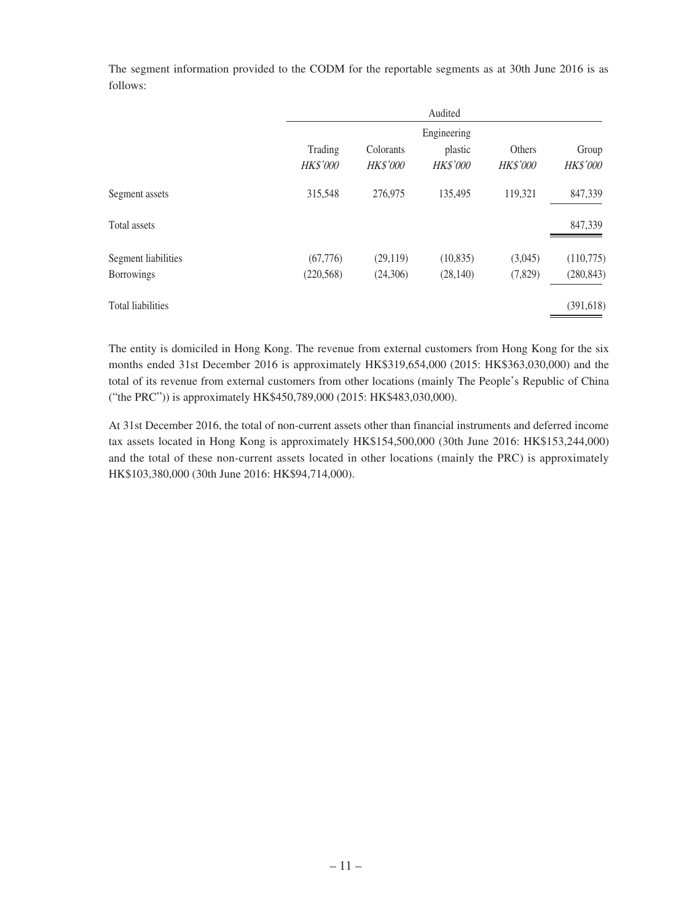The segment information provided to the CODM for the reportable segments as at 30th June 2016 is as follows:

|                          |                 |           | Audited   |          |                 |
|--------------------------|-----------------|-----------|-----------|----------|-----------------|
|                          | Engineering     |           |           |          |                 |
|                          | Trading         | Colorants | plastic   | Others   | Group           |
|                          | <b>HK\$'000</b> | HK\$'000  | HK\$'000  | HK\$'000 | <b>HK\$'000</b> |
| Segment assets           | 315,548         | 276,975   | 135,495   | 119,321  | 847,339         |
| Total assets             |                 |           |           |          | 847,339         |
| Segment liabilities      | (67,776)        | (29, 119) | (10, 835) | (3,045)  | (110,775)       |
| <b>Borrowings</b>        | (220, 568)      | (24,306)  | (28, 140) | (7,829)  | (280, 843)      |
| <b>Total liabilities</b> |                 |           |           |          | (391, 618)      |

The entity is domiciled in Hong Kong. The revenue from external customers from Hong Kong for the six months ended 31st December 2016 is approximately HK\$319,654,000 (2015: HK\$363,030,000) and the total of its revenue from external customers from other locations (mainly The People's Republic of China ("the PRC")) is approximately HK\$450,789,000 (2015: HK\$483,030,000).

At 31st December 2016, the total of non-current assets other than financial instruments and deferred income tax assets located in Hong Kong is approximately HK\$154,500,000 (30th June 2016: HK\$153,244,000) and the total of these non-current assets located in other locations (mainly the PRC) is approximately HK\$103,380,000 (30th June 2016: HK\$94,714,000).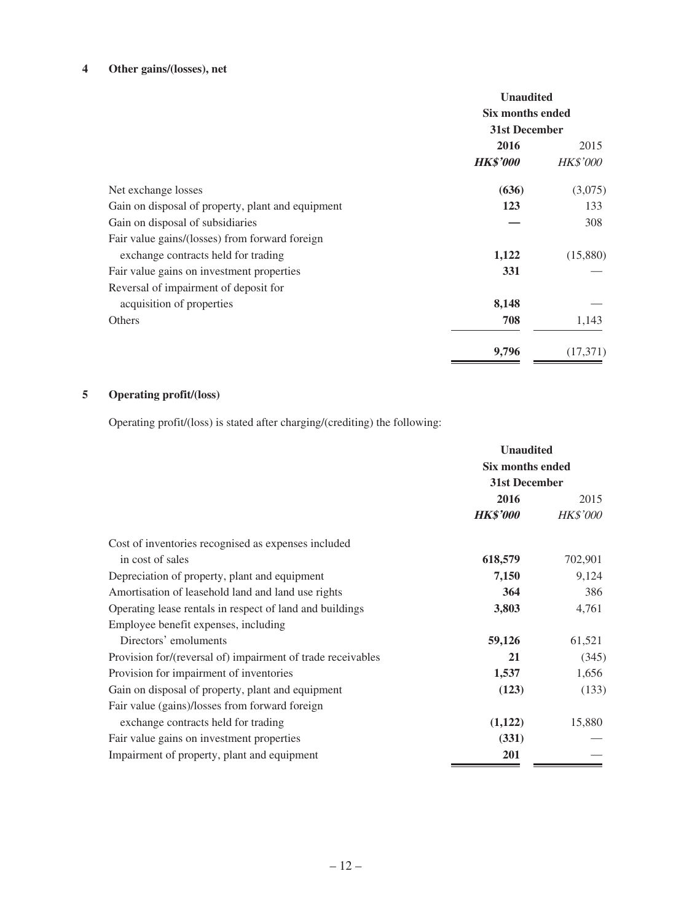## **4 Other gains/(losses), net**

| <b>Unaudited</b><br>Six months ended |                 |  |
|--------------------------------------|-----------------|--|
| 31st December                        |                 |  |
|                                      |                 |  |
| <b>HK\$'000</b>                      | <i>HK\$'000</i> |  |
| (636)                                | (3,075)         |  |
| 123                                  | 133             |  |
|                                      | 308             |  |
|                                      |                 |  |
| 1,122                                | (15,880)        |  |
| 331                                  |                 |  |
|                                      |                 |  |
| 8,148                                |                 |  |
| 708                                  | 1,143           |  |
| 9,796                                | (17,371)        |  |
|                                      | 2016            |  |

# **5 Operating profit/(loss)**

Operating profit/(loss) is stated after charging/(crediting) the following:

|                                                             | <b>Unaudited</b>                  |                 |
|-------------------------------------------------------------|-----------------------------------|-----------------|
|                                                             | Six months ended<br>31st December |                 |
|                                                             |                                   |                 |
|                                                             | 2016                              | 2015            |
|                                                             | <b>HK\$'000</b>                   | <b>HK\$'000</b> |
| Cost of inventories recognised as expenses included         |                                   |                 |
| in cost of sales                                            | 618,579                           | 702,901         |
| Depreciation of property, plant and equipment               | 7,150                             | 9,124           |
| Amortisation of leasehold land and land use rights          | 364                               | 386             |
| Operating lease rentals in respect of land and buildings    | 3,803                             | 4,761           |
| Employee benefit expenses, including                        |                                   |                 |
| Directors' emoluments                                       | 59,126                            | 61,521          |
| Provision for/(reversal of) impairment of trade receivables | 21                                | (345)           |
| Provision for impairment of inventories                     | 1,537                             | 1,656           |
| Gain on disposal of property, plant and equipment           | (123)                             | (133)           |
| Fair value (gains)/losses from forward foreign              |                                   |                 |
| exchange contracts held for trading                         | (1,122)                           | 15,880          |
| Fair value gains on investment properties                   | (331)                             |                 |
| Impairment of property, plant and equipment                 | 201                               |                 |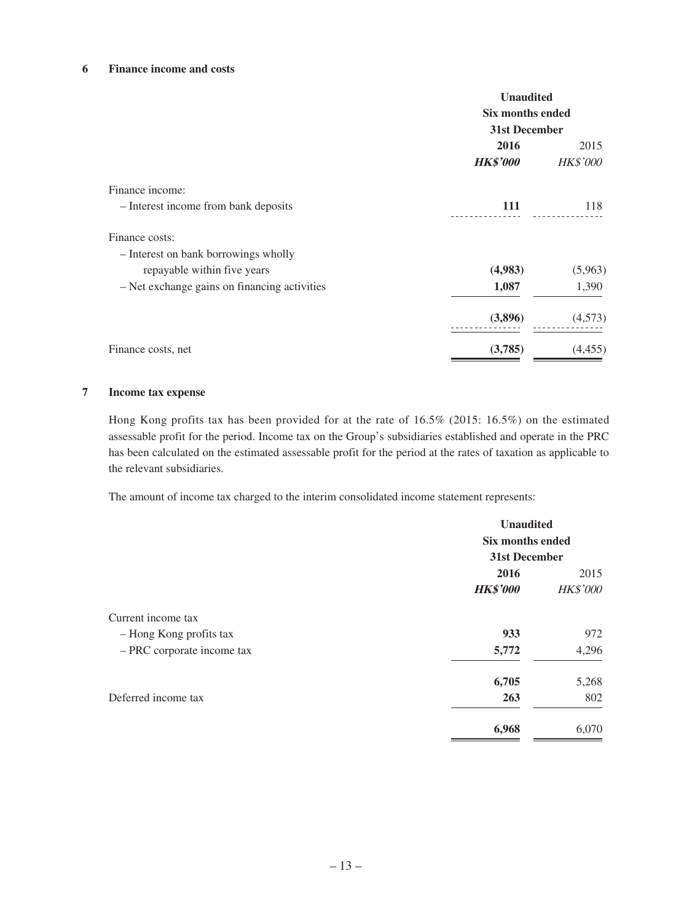#### **6 Finance income and costs**

|                                              | <b>Unaudited</b><br>Six months ended<br>31st December |                 |
|----------------------------------------------|-------------------------------------------------------|-----------------|
|                                              |                                                       |                 |
|                                              | 2016                                                  | 2015            |
|                                              | <b>HK\$'000</b>                                       | <b>HK\$'000</b> |
| Finance income:                              |                                                       |                 |
| - Interest income from bank deposits         | 111                                                   | 118             |
| Finance costs:                               |                                                       |                 |
| - Interest on bank borrowings wholly         |                                                       |                 |
| repayable within five years                  | (4,983)                                               | (5,963)         |
| - Net exchange gains on financing activities | 1,087                                                 | 1,390           |
|                                              | (3,896)                                               | (4,573)         |
| Finance costs, net                           | (3,785)                                               | (4, 455)        |

#### **7 Income tax expense**

Hong Kong profits tax has been provided for at the rate of 16.5% (2015: 16.5%) on the estimated assessable profit for the period. Income tax on the Group's subsidiaries established and operate in the PRC has been calculated on the estimated assessable profit for the period at the rates of taxation as applicable to the relevant subsidiaries.

The amount of income tax charged to the interim consolidated income statement represents:

|                            | <b>Unaudited</b><br>Six months ended<br>31st December |                 |
|----------------------------|-------------------------------------------------------|-----------------|
|                            |                                                       |                 |
|                            |                                                       |                 |
|                            | 2016                                                  | 2015            |
|                            | <b>HK\$'000</b>                                       | <b>HK\$'000</b> |
| Current income tax         |                                                       |                 |
| - Hong Kong profits tax    | 933                                                   | 972             |
| - PRC corporate income tax | 5,772                                                 | 4,296           |
|                            | 6,705                                                 | 5,268           |
| Deferred income tax        | 263                                                   | 802             |
|                            | 6,968                                                 | 6,070           |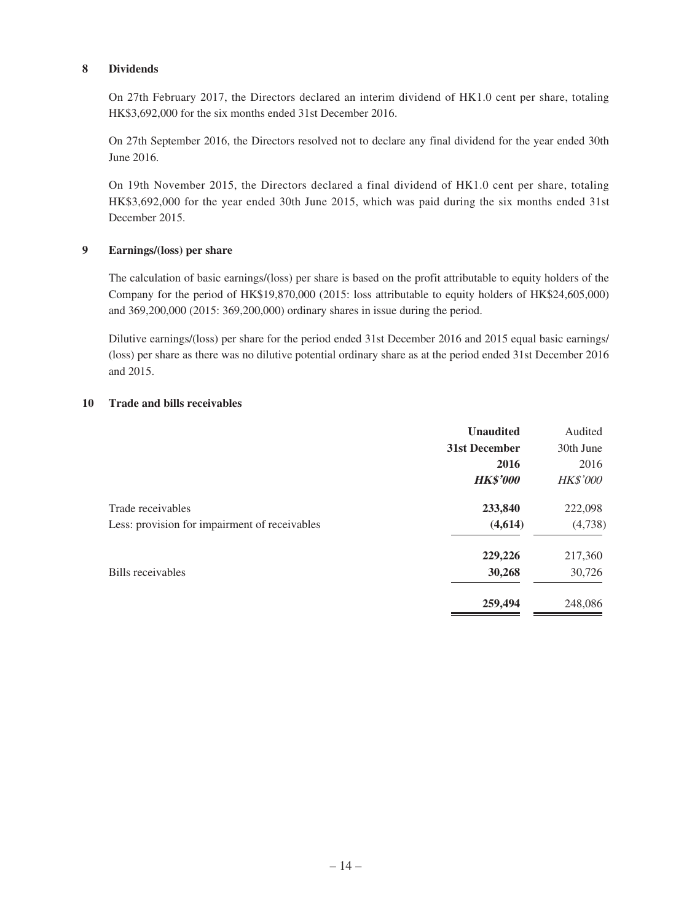#### **8 Dividends**

On 27th February 2017, the Directors declared an interim dividend of HK1.0 cent per share, totaling HK\$3,692,000 for the six months ended 31st December 2016.

On 27th September 2016, the Directors resolved not to declare any final dividend for the year ended 30th June 2016.

On 19th November 2015, the Directors declared a final dividend of HK1.0 cent per share, totaling HK\$3,692,000 for the year ended 30th June 2015, which was paid during the six months ended 31st December 2015.

#### **9 Earnings/(loss) per share**

The calculation of basic earnings/(loss) per share is based on the profit attributable to equity holders of the Company for the period of HK\$19,870,000 (2015: loss attributable to equity holders of HK\$24,605,000) and 369,200,000 (2015: 369,200,000) ordinary shares in issue during the period.

Dilutive earnings/(loss) per share for the period ended 31st December 2016 and 2015 equal basic earnings/ (loss) per share as there was no dilutive potential ordinary share as at the period ended 31st December 2016 and 2015.

#### **10 Trade and bills receivables**

|                                               | <b>Unaudited</b> | Audited         |
|-----------------------------------------------|------------------|-----------------|
|                                               | 31st December    | 30th June       |
|                                               | 2016             | 2016            |
|                                               | <b>HK\$'000</b>  | <b>HK\$'000</b> |
| Trade receivables                             | 233,840          | 222,098         |
| Less: provision for impairment of receivables | (4,614)          | (4,738)         |
|                                               | 229,226          | 217,360         |
| Bills receivables                             | 30,268           | 30,726          |
|                                               | 259,494          | 248,086         |
|                                               |                  |                 |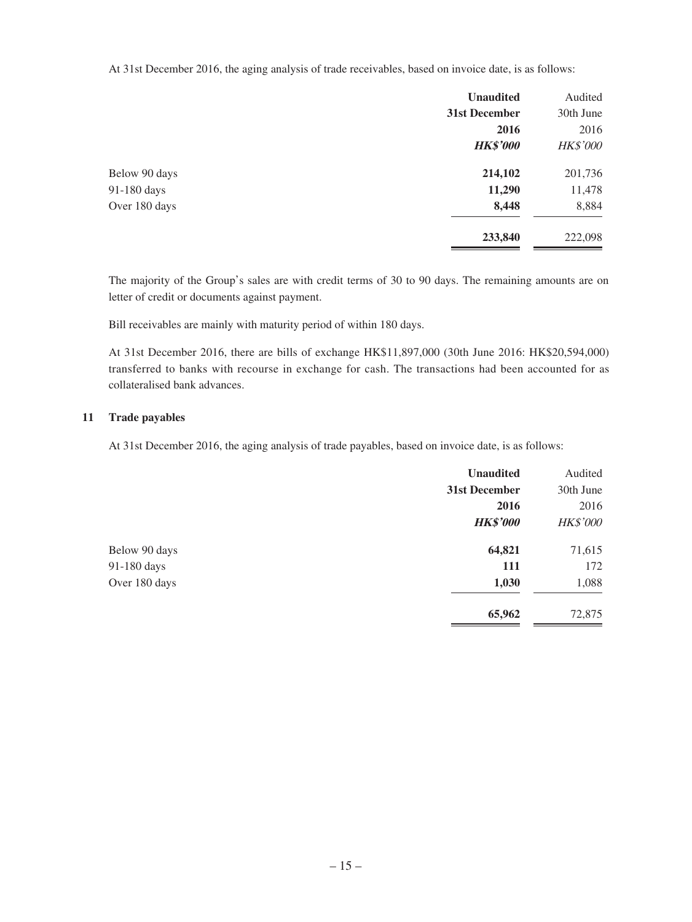At 31st December 2016, the aging analysis of trade receivables, based on invoice date, is as follows:

|               | <b>Unaudited</b> | Audited         |
|---------------|------------------|-----------------|
|               | 31st December    | 30th June       |
|               | 2016             | 2016            |
|               | <b>HK\$'000</b>  | <b>HK\$'000</b> |
| Below 90 days | 214,102          | 201,736         |
| 91-180 days   | 11,290           | 11,478          |
| Over 180 days | 8,448            | 8,884           |
|               | 233,840          | 222,098         |

The majority of the Group's sales are with credit terms of 30 to 90 days. The remaining amounts are on letter of credit or documents against payment.

Bill receivables are mainly with maturity period of within 180 days.

At 31st December 2016, there are bills of exchange HK\$11,897,000 (30th June 2016: HK\$20,594,000) transferred to banks with recourse in exchange for cash. The transactions had been accounted for as collateralised bank advances.

#### **11 Trade payables**

At 31st December 2016, the aging analysis of trade payables, based on invoice date, is as follows:

|               | <b>Unaudited</b> | Audited         |
|---------------|------------------|-----------------|
|               | 31st December    | 30th June       |
|               | 2016             | 2016            |
|               | <b>HK\$'000</b>  | <b>HK\$'000</b> |
| Below 90 days | 64,821           | 71,615          |
| 91-180 days   | <b>111</b>       | 172             |
| Over 180 days | 1,030            | 1,088           |
|               | 65,962           | 72,875          |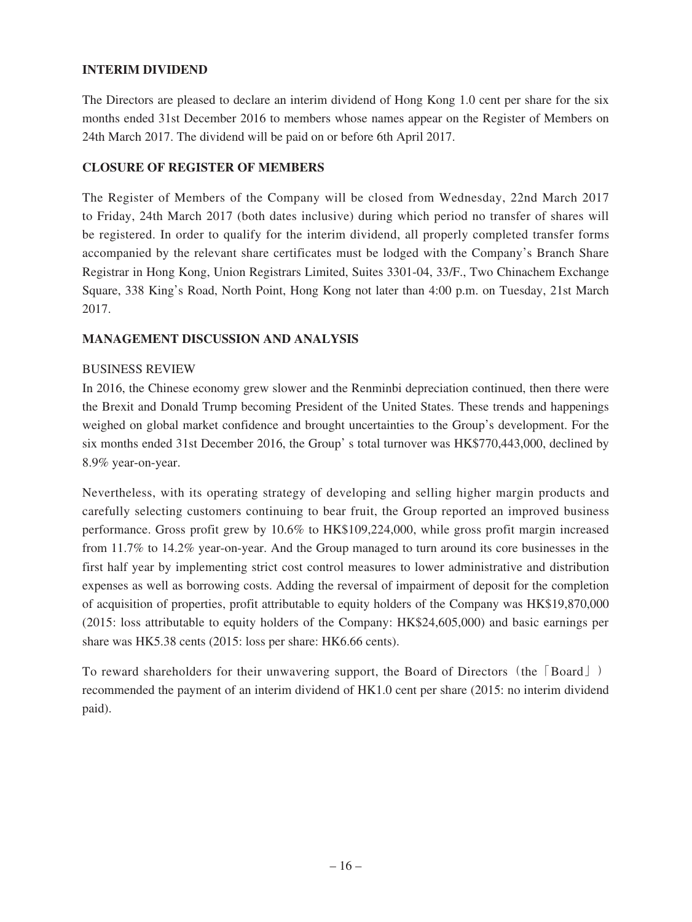### **INTERIM DIVIDEND**

The Directors are pleased to declare an interim dividend of Hong Kong 1.0 cent per share for the six months ended 31st December 2016 to members whose names appear on the Register of Members on 24th March 2017. The dividend will be paid on or before 6th April 2017.

## **CLOSURE OF REGISTER OF MEMBERS**

The Register of Members of the Company will be closed from Wednesday, 22nd March 2017 to Friday, 24th March 2017 (both dates inclusive) during which period no transfer of shares will be registered. In order to qualify for the interim dividend, all properly completed transfer forms accompanied by the relevant share certificates must be lodged with the Company's Branch Share Registrar in Hong Kong, Union Registrars Limited, Suites 3301-04, 33/F., Two Chinachem Exchange Square, 338 King's Road, North Point, Hong Kong not later than 4:00 p.m. on Tuesday, 21st March 2017.

## **MANAGEMENT DISCUSSION AND ANALYSIS**

#### BUSINESS REVIEW

In 2016, the Chinese economy grew slower and the Renminbi depreciation continued, then there were the Brexit and Donald Trump becoming President of the United States. These trends and happenings weighed on global market confidence and brought uncertainties to the Group's development. For the six months ended 31st December 2016, the Group' s total turnover was HK\$770,443,000, declined by 8.9% year-on-year.

Nevertheless, with its operating strategy of developing and selling higher margin products and carefully selecting customers continuing to bear fruit, the Group reported an improved business performance. Gross profit grew by 10.6% to HK\$109,224,000, while gross profit margin increased from 11.7% to 14.2% year-on-year. And the Group managed to turn around its core businesses in the first half year by implementing strict cost control measures to lower administrative and distribution expenses as well as borrowing costs. Adding the reversal of impairment of deposit for the completion of acquisition of properties, profit attributable to equity holders of the Company was HK\$19,870,000 (2015: loss attributable to equity holders of the Company: HK\$24,605,000) and basic earnings per share was HK5.38 cents (2015: loss per share: HK6.66 cents).

To reward shareholders for their unwavering support, the Board of Directors (the [Board]) recommended the payment of an interim dividend of HK1.0 cent per share (2015: no interim dividend paid).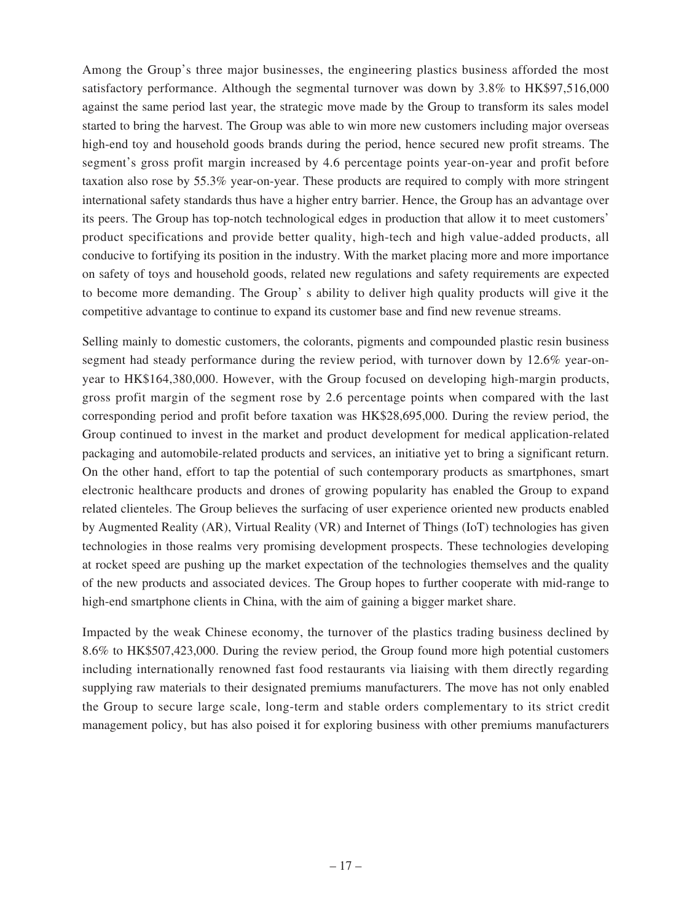Among the Group's three major businesses, the engineering plastics business afforded the most satisfactory performance. Although the segmental turnover was down by 3.8% to HK\$97,516,000 against the same period last year, the strategic move made by the Group to transform its sales model started to bring the harvest. The Group was able to win more new customers including major overseas high-end toy and household goods brands during the period, hence secured new profit streams. The segment's gross profit margin increased by 4.6 percentage points year-on-year and profit before taxation also rose by 55.3% year-on-year. These products are required to comply with more stringent international safety standards thus have a higher entry barrier. Hence, the Group has an advantage over its peers. The Group has top-notch technological edges in production that allow it to meet customers' product specifications and provide better quality, high-tech and high value-added products, all conducive to fortifying its position in the industry. With the market placing more and more importance on safety of toys and household goods, related new regulations and safety requirements are expected to become more demanding. The Group' s ability to deliver high quality products will give it the competitive advantage to continue to expand its customer base and find new revenue streams.

Selling mainly to domestic customers, the colorants, pigments and compounded plastic resin business segment had steady performance during the review period, with turnover down by 12.6% year-onyear to HK\$164,380,000. However, with the Group focused on developing high-margin products, gross profit margin of the segment rose by 2.6 percentage points when compared with the last corresponding period and profit before taxation was HK\$28,695,000. During the review period, the Group continued to invest in the market and product development for medical application-related packaging and automobile-related products and services, an initiative yet to bring a significant return. On the other hand, effort to tap the potential of such contemporary products as smartphones, smart electronic healthcare products and drones of growing popularity has enabled the Group to expand related clienteles. The Group believes the surfacing of user experience oriented new products enabled by Augmented Reality (AR), Virtual Reality (VR) and Internet of Things (IoT) technologies has given technologies in those realms very promising development prospects. These technologies developing at rocket speed are pushing up the market expectation of the technologies themselves and the quality of the new products and associated devices. The Group hopes to further cooperate with mid-range to high-end smartphone clients in China, with the aim of gaining a bigger market share.

Impacted by the weak Chinese economy, the turnover of the plastics trading business declined by 8.6% to HK\$507,423,000. During the review period, the Group found more high potential customers including internationally renowned fast food restaurants via liaising with them directly regarding supplying raw materials to their designated premiums manufacturers. The move has not only enabled the Group to secure large scale, long-term and stable orders complementary to its strict credit management policy, but has also poised it for exploring business with other premiums manufacturers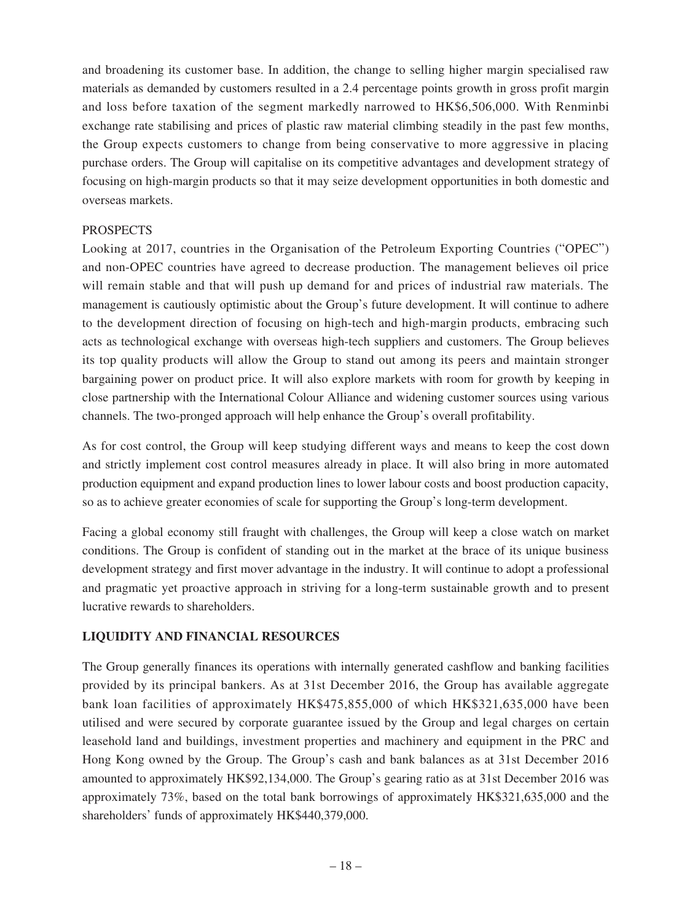and broadening its customer base. In addition, the change to selling higher margin specialised raw materials as demanded by customers resulted in a 2.4 percentage points growth in gross profit margin and loss before taxation of the segment markedly narrowed to HK\$6,506,000. With Renminbi exchange rate stabilising and prices of plastic raw material climbing steadily in the past few months, the Group expects customers to change from being conservative to more aggressive in placing purchase orders. The Group will capitalise on its competitive advantages and development strategy of focusing on high-margin products so that it may seize development opportunities in both domestic and overseas markets.

### PROSPECTS

Looking at 2017, countries in the Organisation of the Petroleum Exporting Countries ("OPEC") and non-OPEC countries have agreed to decrease production. The management believes oil price will remain stable and that will push up demand for and prices of industrial raw materials. The management is cautiously optimistic about the Group's future development. It will continue to adhere to the development direction of focusing on high-tech and high-margin products, embracing such acts as technological exchange with overseas high-tech suppliers and customers. The Group believes its top quality products will allow the Group to stand out among its peers and maintain stronger bargaining power on product price. It will also explore markets with room for growth by keeping in close partnership with the International Colour Alliance and widening customer sources using various channels. The two-pronged approach will help enhance the Group's overall profitability.

As for cost control, the Group will keep studying different ways and means to keep the cost down and strictly implement cost control measures already in place. It will also bring in more automated production equipment and expand production lines to lower labour costs and boost production capacity, so as to achieve greater economies of scale for supporting the Group's long-term development.

Facing a global economy still fraught with challenges, the Group will keep a close watch on market conditions. The Group is confident of standing out in the market at the brace of its unique business development strategy and first mover advantage in the industry. It will continue to adopt a professional and pragmatic yet proactive approach in striving for a long-term sustainable growth and to present lucrative rewards to shareholders.

### **LIQUIDITY AND FINANCIAL RESOURCES**

The Group generally finances its operations with internally generated cashflow and banking facilities provided by its principal bankers. As at 31st December 2016, the Group has available aggregate bank loan facilities of approximately HK\$475,855,000 of which HK\$321,635,000 have been utilised and were secured by corporate guarantee issued by the Group and legal charges on certain leasehold land and buildings, investment properties and machinery and equipment in the PRC and Hong Kong owned by the Group. The Group's cash and bank balances as at 31st December 2016 amounted to approximately HK\$92,134,000. The Group's gearing ratio as at 31st December 2016 was approximately 73%, based on the total bank borrowings of approximately HK\$321,635,000 and the shareholders' funds of approximately HK\$440,379,000.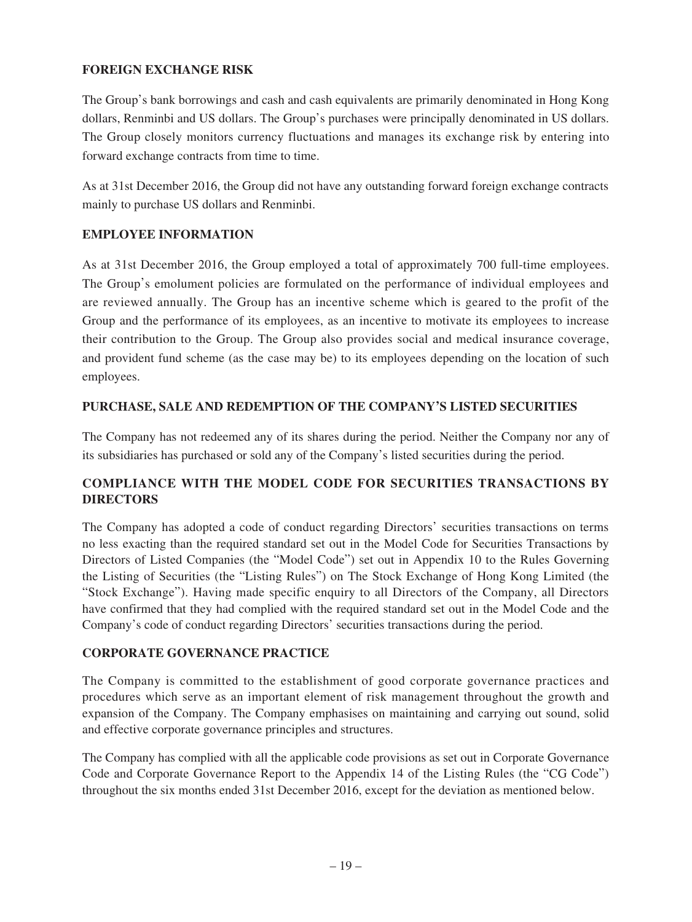## **FOREIGN EXCHANGE RISK**

The Group's bank borrowings and cash and cash equivalents are primarily denominated in Hong Kong dollars, Renminbi and US dollars. The Group's purchases were principally denominated in US dollars. The Group closely monitors currency fluctuations and manages its exchange risk by entering into forward exchange contracts from time to time.

As at 31st December 2016, the Group did not have any outstanding forward foreign exchange contracts mainly to purchase US dollars and Renminbi.

## **EMPLOYEE INFORMATION**

As at 31st December 2016, the Group employed a total of approximately 700 full-time employees. The Group's emolument policies are formulated on the performance of individual employees and are reviewed annually. The Group has an incentive scheme which is geared to the profit of the Group and the performance of its employees, as an incentive to motivate its employees to increase their contribution to the Group. The Group also provides social and medical insurance coverage, and provident fund scheme (as the case may be) to its employees depending on the location of such employees.

## **PURCHASE, SALE AND REDEMPTION OF THE COMPANY'S LISTED SECURITIES**

The Company has not redeemed any of its shares during the period. Neither the Company nor any of its subsidiaries has purchased or sold any of the Company's listed securities during the period.

# **COMPLIANCE WITH THE MODEL CODE FOR SECURITIES TRANSACTIONS BY DIRECTORS**

The Company has adopted a code of conduct regarding Directors' securities transactions on terms no less exacting than the required standard set out in the Model Code for Securities Transactions by Directors of Listed Companies (the "Model Code") set out in Appendix 10 to the Rules Governing the Listing of Securities (the "Listing Rules") on The Stock Exchange of Hong Kong Limited (the "Stock Exchange"). Having made specific enquiry to all Directors of the Company, all Directors have confirmed that they had complied with the required standard set out in the Model Code and the Company's code of conduct regarding Directors' securities transactions during the period.

# **CORPORATE GOVERNANCE PRACTICE**

The Company is committed to the establishment of good corporate governance practices and procedures which serve as an important element of risk management throughout the growth and expansion of the Company. The Company emphasises on maintaining and carrying out sound, solid and effective corporate governance principles and structures.

The Company has complied with all the applicable code provisions as set out in Corporate Governance Code and Corporate Governance Report to the Appendix 14 of the Listing Rules (the "CG Code") throughout the six months ended 31st December 2016, except for the deviation as mentioned below.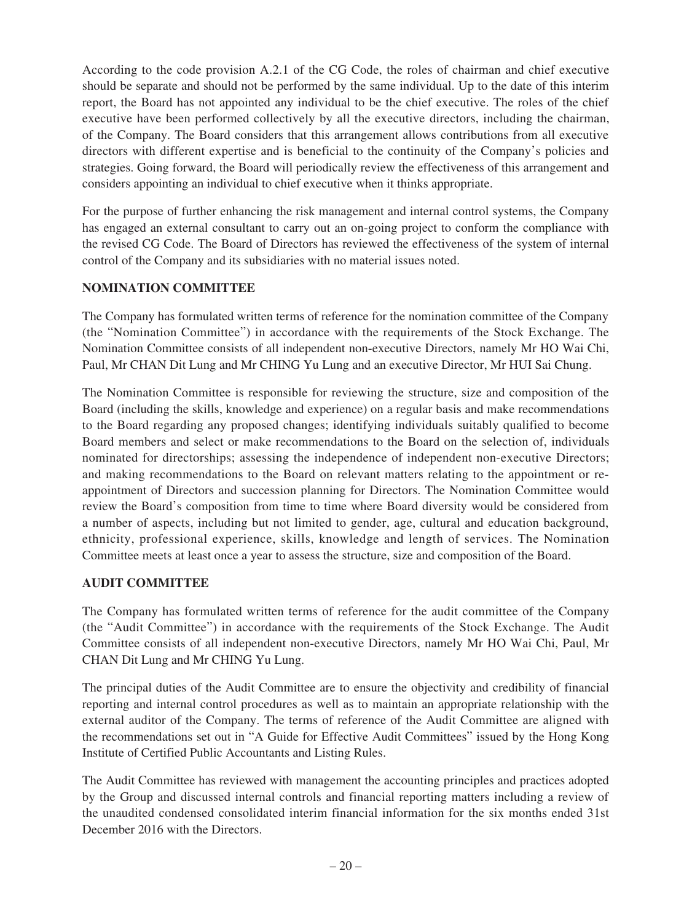According to the code provision A.2.1 of the CG Code, the roles of chairman and chief executive should be separate and should not be performed by the same individual. Up to the date of this interim report, the Board has not appointed any individual to be the chief executive. The roles of the chief executive have been performed collectively by all the executive directors, including the chairman, of the Company. The Board considers that this arrangement allows contributions from all executive directors with different expertise and is beneficial to the continuity of the Company's policies and strategies. Going forward, the Board will periodically review the effectiveness of this arrangement and considers appointing an individual to chief executive when it thinks appropriate.

For the purpose of further enhancing the risk management and internal control systems, the Company has engaged an external consultant to carry out an on-going project to conform the compliance with the revised CG Code. The Board of Directors has reviewed the effectiveness of the system of internal control of the Company and its subsidiaries with no material issues noted.

# **NOMINATION COMMITTEE**

The Company has formulated written terms of reference for the nomination committee of the Company (the "Nomination Committee") in accordance with the requirements of the Stock Exchange. The Nomination Committee consists of all independent non-executive Directors, namely Mr HO Wai Chi, Paul, Mr CHAN Dit Lung and Mr CHING Yu Lung and an executive Director, Mr HUI Sai Chung.

The Nomination Committee is responsible for reviewing the structure, size and composition of the Board (including the skills, knowledge and experience) on a regular basis and make recommendations to the Board regarding any proposed changes; identifying individuals suitably qualified to become Board members and select or make recommendations to the Board on the selection of, individuals nominated for directorships; assessing the independence of independent non-executive Directors; and making recommendations to the Board on relevant matters relating to the appointment or reappointment of Directors and succession planning for Directors. The Nomination Committee would review the Board's composition from time to time where Board diversity would be considered from a number of aspects, including but not limited to gender, age, cultural and education background, ethnicity, professional experience, skills, knowledge and length of services. The Nomination Committee meets at least once a year to assess the structure, size and composition of the Board.

### **AUDIT COMMITTEE**

The Company has formulated written terms of reference for the audit committee of the Company (the "Audit Committee") in accordance with the requirements of the Stock Exchange. The Audit Committee consists of all independent non-executive Directors, namely Mr HO Wai Chi, Paul, Mr CHAN Dit Lung and Mr CHING Yu Lung.

The principal duties of the Audit Committee are to ensure the objectivity and credibility of financial reporting and internal control procedures as well as to maintain an appropriate relationship with the external auditor of the Company. The terms of reference of the Audit Committee are aligned with the recommendations set out in "A Guide for Effective Audit Committees" issued by the Hong Kong Institute of Certified Public Accountants and Listing Rules.

The Audit Committee has reviewed with management the accounting principles and practices adopted by the Group and discussed internal controls and financial reporting matters including a review of the unaudited condensed consolidated interim financial information for the six months ended 31st December 2016 with the Directors.